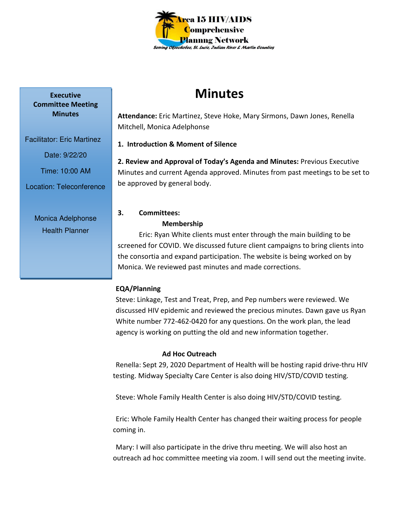

# **Minutes**

**Attendance:** Eric Martinez, Steve Hoke, Mary Sirmons, Dawn Jones, Renella Mitchell, Monica Adelphonse

**1. Introduction & Moment of Silence** 

**2. Review and Approval of Today's Agenda and Minutes:** Previous Executive Minutes and current Agenda approved. Minutes from past meetings to be set to be approved by general body.

# **3. Committees:**

#### **Membership**

Eric: Ryan White clients must enter through the main building to be screened for COVID. We discussed future client campaigns to bring clients into the consortia and expand participation. The website is being worked on by Monica. We reviewed past minutes and made corrections.

# **EQA/Planning**

Steve: Linkage, Test and Treat, Prep, and Pep numbers were reviewed. We discussed HIV epidemic and reviewed the precious minutes. Dawn gave us Ryan White number 772-462-0420 for any questions. On the work plan, the lead agency is working on putting the old and new information together.

# **Ad Hoc Outreach**

Renella: Sept 29, 2020 Department of Health will be hosting rapid drive-thru HIV testing. Midway Specialty Care Center is also doing HIV/STD/COVID testing.

Steve: Whole Family Health Center is also doing HIV/STD/COVID testing.

 Eric: Whole Family Health Center has changed their waiting process for people coming in.

 Mary: I will also participate in the drive thru meeting. We will also host an outreach ad hoc committee meeting via zoom. I will send out the meeting invite.

**Executive Committee Meeting Minutes** 

Facilitator: Eric Martinez

Date: 9/22/20

Time: 10:00 AM

Location: Teleconference

Monica Adelphonse Health Planner